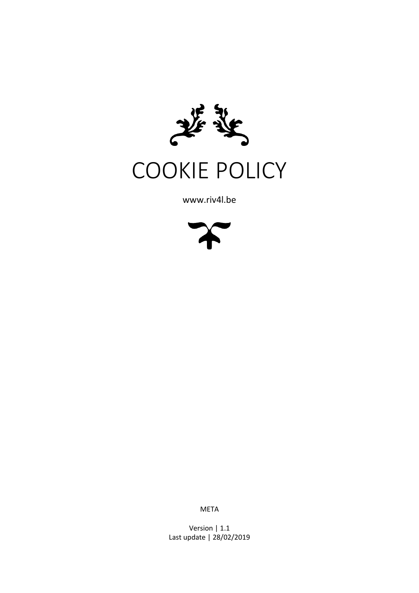

COOKIE POLICY

www.riv4l.be



META

Version | 1.1 Last update | 28/02/2019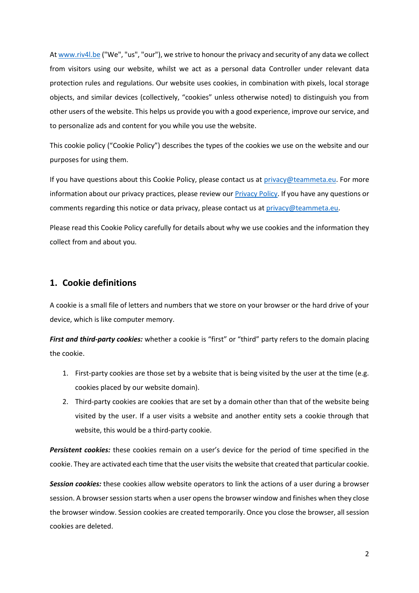At [www.riv4l.be](http://www.riv4l.be/) ("We", "us", "our"), we strive to honour the privacy and security of any data we collect from visitors using our website, whilst we act as a personal data Controller under relevant data protection rules and regulations. Our website uses cookies, in combination with pixels, local storage objects, and similar devices (collectively, "cookies" unless otherwise noted) to distinguish you from other users of the website. This helps us provide you with a good experience, improve our service, and to personalize ads and content for you while you use the website.

This cookie policy ("Cookie Policy") describes the types of the cookies we use on the website and our purposes for using them.

If you have questions about this Cookie Policy, please contact us at [privacy@teammeta.eu.](mailto:privacy@teammeta.eu) For more information about our privacy practices, please review our **Privacy Policy**. If you have any questions or comments regarding this notice or data privacy, please contact us at [privacy@teammeta.eu.](mailto:privacy@teammeta.eu)

Please read this Cookie Policy carefully for details about why we use cookies and the information they collect from and about you.

## **1. Cookie definitions**

A cookie is a small file of letters and numbers that we store on your browser or the hard drive of your device, which is like computer memory.

*First and third-party cookies:* whether a cookie is "first" or "third" party refers to the domain placing the cookie.

- 1. First-party cookies are those set by a website that is being visited by the user at the time (e.g. cookies placed by our website domain).
- 2. Third-party cookies are cookies that are set by a domain other than that of the website being visited by the user. If a user visits a website and another entity sets a cookie through that website, this would be a third-party cookie.

*Persistent cookies:* these cookies remain on a user's device for the period of time specified in the cookie. They are activated each time that the user visits the website that created that particular cookie.

*Session cookies:* these cookies allow website operators to link the actions of a user during a browser session. A browser session starts when a user opens the browser window and finishes when they close the browser window. Session cookies are created temporarily. Once you close the browser, all session cookies are deleted.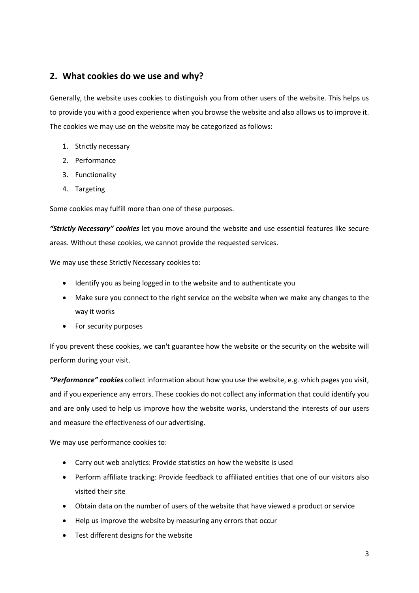# **2. What cookies do we use and why?**

Generally, the website uses cookies to distinguish you from other users of the website. This helps us to provide you with a good experience when you browse the website and also allows us to improve it. The cookies we may use on the website may be categorized as follows:

- 1. Strictly necessary
- 2. Performance
- 3. Functionality
- 4. Targeting

Some cookies may fulfill more than one of these purposes.

*"Strictly Necessary" cookies* let you move around the website and use essential features like secure areas. Without these cookies, we cannot provide the requested services.

We may use these Strictly Necessary cookies to:

- Identify you as being logged in to the website and to authenticate you
- Make sure you connect to the right service on the website when we make any changes to the way it works
- For security purposes

If you prevent these cookies, we can't guarantee how the website or the security on the website will perform during your visit.

*"Performance" cookies* collect information about how you use the website, e.g. which pages you visit, and if you experience any errors. These cookies do not collect any information that could identify you and are only used to help us improve how the website works, understand the interests of our users and measure the effectiveness of our advertising.

We may use performance cookies to:

- Carry out web analytics: Provide statistics on how the website is used
- Perform affiliate tracking: Provide feedback to affiliated entities that one of our visitors also visited their site
- Obtain data on the number of users of the website that have viewed a product or service
- Help us improve the website by measuring any errors that occur
- Test different designs for the website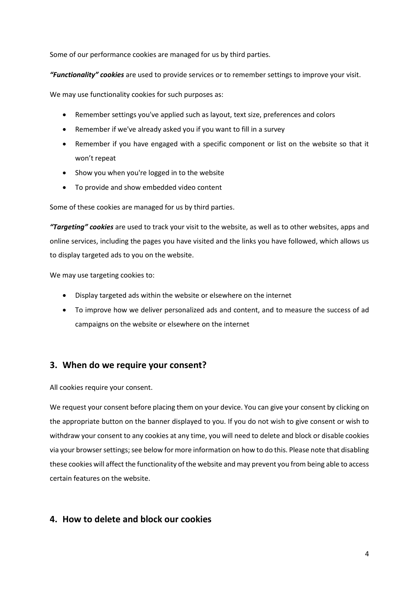Some of our performance cookies are managed for us by third parties.

*"Functionality" cookies* are used to provide services or to remember settings to improve your visit.

We may use functionality cookies for such purposes as:

- Remember settings you've applied such as layout, text size, preferences and colors
- Remember if we've already asked you if you want to fill in a survey
- Remember if you have engaged with a specific component or list on the website so that it won't repeat
- Show you when you're logged in to the website
- To provide and show embedded video content

Some of these cookies are managed for us by third parties.

*"Targeting" cookies* are used to track your visit to the website, as well as to other websites, apps and online services, including the pages you have visited and the links you have followed, which allows us to display targeted ads to you on the website.

We may use targeting cookies to:

- Display targeted ads within the website or elsewhere on the internet
- To improve how we deliver personalized ads and content, and to measure the success of ad campaigns on the website or elsewhere on the internet

# **3. When do we require your consent?**

All cookies require your consent.

We request your consent before placing them on your device. You can give your consent by clicking on the appropriate button on the banner displayed to you. If you do not wish to give consent or wish to withdraw your consent to any cookies at any time, you will need to delete and block or disable cookies via your browser settings; see below for more information on how to do this. Please note that disabling these cookies will affect the functionality of the website and may prevent you from being able to access certain features on the website.

# **4. How to delete and block our cookies**